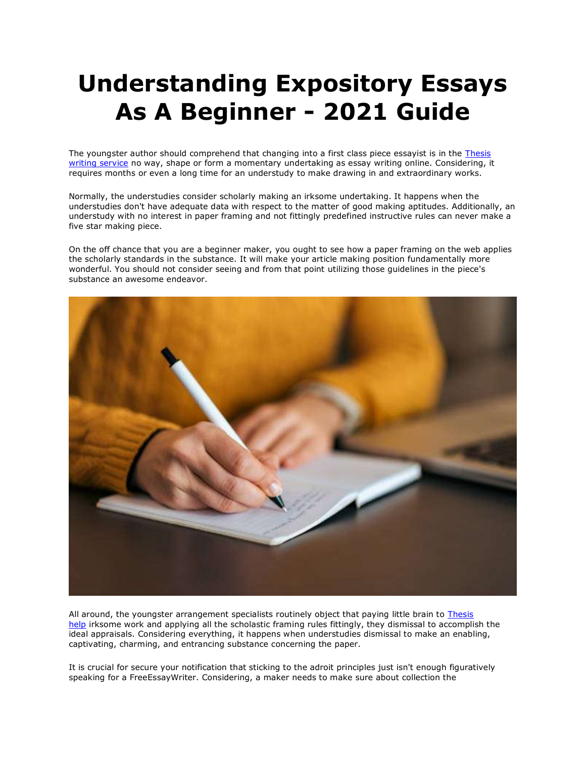## **Understanding Expository Essays As A Beginner - 2021 Guide**

The youngster author should comprehend that changing into a first class piece essayist is in the Thesis [writing service](https://www.gradschoolgenius.com/) no way, shape or form a momentary undertaking as essay writing online. Considering, it requires months or even a long time for an understudy to make drawing in and extraordinary works.

Normally, the understudies consider scholarly making an irksome undertaking. It happens when the understudies don't have adequate data with respect to the matter of good making aptitudes. Additionally, an understudy with no interest in paper framing and not fittingly predefined instructive rules can never make a five star making piece.

On the off chance that you are a beginner maker, you ought to see how a paper framing on the web applies the scholarly standards in the substance. It will make your article making position fundamentally more wonderful. You should not consider seeing and from that point utilizing those guidelines in the piece's substance an awesome endeavor.



All around, the youngster arrangement specialists routinely object that paying little brain to [Thesis](https://www.gradschoolgenius.com/)  [help](https://www.gradschoolgenius.com/) irksome work and applying all the scholastic framing rules fittingly, they dismissal to accomplish the ideal appraisals. Considering everything, it happens when understudies dismissal to make an enabling, captivating, charming, and entrancing substance concerning the paper.

It is crucial for secure your notification that sticking to the adroit principles just isn't enough figuratively speaking for a FreeEssayWriter. Considering, a maker needs to make sure about collection the